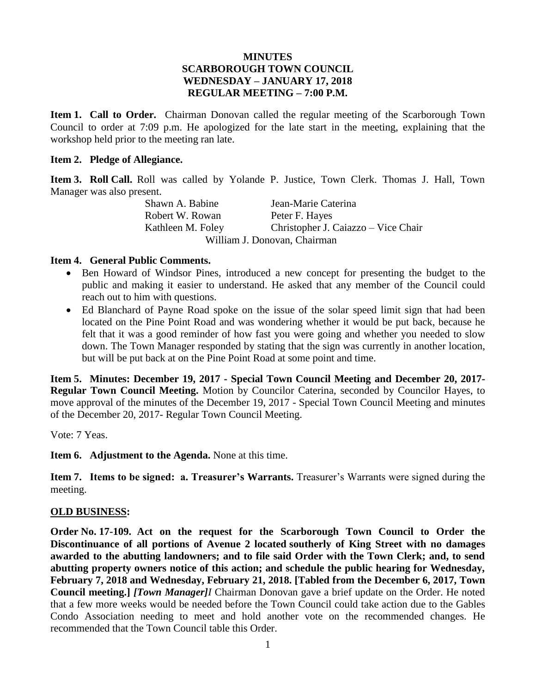### **MINUTES SCARBOROUGH TOWN COUNCIL WEDNESDAY – JANUARY 17, 2018 REGULAR MEETING – 7:00 P.M.**

**Item 1. Call to Order.** Chairman Donovan called the regular meeting of the Scarborough Town Council to order at 7:09 p.m. He apologized for the late start in the meeting, explaining that the workshop held prior to the meeting ran late.

#### **Item 2. Pledge of Allegiance.**

**Item 3. Roll Call.** Roll was called by Yolande P. Justice, Town Clerk. Thomas J. Hall, Town Manager was also present.

Shawn A. Babine Jean-Marie Caterina Robert W. Rowan Peter F. Hayes Kathleen M. Foley Christopher J. Caiazzo – Vice Chair William J. Donovan, Chairman

#### **Item 4. General Public Comments.**

- Ben Howard of Windsor Pines, introduced a new concept for presenting the budget to the public and making it easier to understand. He asked that any member of the Council could reach out to him with questions.
- Ed Blanchard of Payne Road spoke on the issue of the solar speed limit sign that had been located on the Pine Point Road and was wondering whether it would be put back, because he felt that it was a good reminder of how fast you were going and whether you needed to slow down. The Town Manager responded by stating that the sign was currently in another location, but will be put back at on the Pine Point Road at some point and time.

**Item 5. Minutes: December 19, 2017 - Special Town Council Meeting and December 20, 2017- Regular Town Council Meeting.** Motion by Councilor Caterina, seconded by Councilor Hayes, to move approval of the minutes of the December 19, 2017 - Special Town Council Meeting and minutes of the December 20, 2017- Regular Town Council Meeting.

Vote: 7 Yeas.

**Item 6. Adjustment to the Agenda.** None at this time.

**Item 7. Items to be signed: a. Treasurer's Warrants.** Treasurer's Warrants were signed during the meeting.

### **OLD BUSINESS:**

**Order No. 17-109. Act on the request for the Scarborough Town Council to Order the Discontinuance of all portions of Avenue 2 located southerly of King Street with no damages awarded to the abutting landowners; and to file said Order with the Town Clerk; and, to send abutting property owners notice of this action; and schedule the public hearing for Wednesday, February 7, 2018 and Wednesday, February 21, 2018. [Tabled from the December 6, 2017, Town Council meeting.]** *[Town Manager]I* Chairman Donovan gave a brief update on the Order. He noted that a few more weeks would be needed before the Town Council could take action due to the Gables Condo Association needing to meet and hold another vote on the recommended changes. He recommended that the Town Council table this Order.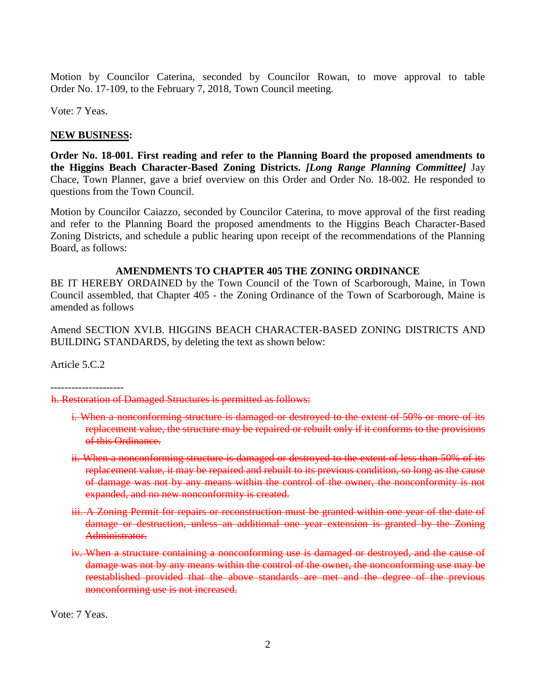Motion by Councilor Caterina, seconded by Councilor Rowan, to move approval to table Order No. 17-109, to the February 7, 2018, Town Council meeting.

Vote: 7 Yeas.

### **NEW BUSINESS:**

**Order No. 18-001. First reading and refer to the Planning Board the proposed amendments to the Higgins Beach Character-Based Zoning Districts.** *[Long Range Planning Committee]* Jay Chace, Town Planner, gave a brief overview on this Order and Order No. 18-002. He responded to questions from the Town Council.

Motion by Councilor Caiazzo, seconded by Councilor Caterina, to move approval of the first reading and refer to the Planning Board the proposed amendments to the Higgins Beach Character-Based Zoning Districts, and schedule a public hearing upon receipt of the recommendations of the Planning Board, as follows:

### **AMENDMENTS TO CHAPTER 405 THE ZONING ORDINANCE**

BE IT HEREBY ORDAINED by the Town Council of the Town of Scarborough, Maine, in Town Council assembled, that Chapter 405 - the Zoning Ordinance of the Town of Scarborough, Maine is amended as follows

Amend SECTION XVI.B. HIGGINS BEACH CHARACTER-BASED ZONING DISTRICTS AND BUILDING STANDARDS, by deleting the text as shown below:

Article 5.C.2

---------------------

h. Restoration of Damaged Structures is permitted as follows:

- i. When a nonconforming structure is damaged or destroyed to the extent of 50% or more of its replacement value, the structure may be repaired or rebuilt only if it conforms to the provisions of this Ordinance.
- ii. When a nonconforming structure is damaged or destroyed to the extent of less than 50% of its replacement value, it may be repaired and rebuilt to its previous condition, so long as the cause of damage was not by any means within the control of the owner, the nonconformity is not expanded, and no new nonconformity is created.
- iii. A Zoning Permit for repairs or reconstruction must be granted within one year of the date of damage or destruction, unless an additional one year extension is granted by the Zoning Administrator.
- iv. When a structure containing a nonconforming use is damaged or destroyed, and the cause of damage was not by any means within the control of the owner, the nonconforming use may be reestablished provided that the above standards are met and the degree of the previous nonconforming use is not increased.

Vote: 7 Yeas.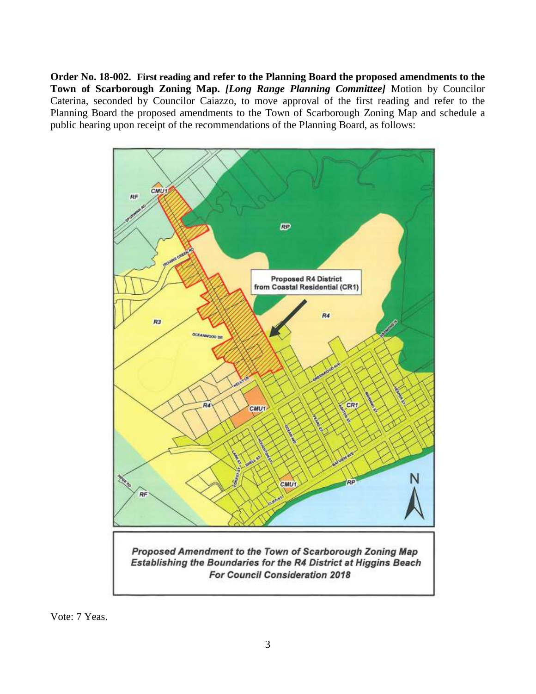**Order No. 18-002. First reading and refer to the Planning Board the proposed amendments to the Town of Scarborough Zoning Map.** *[Long Range Planning Committee]* Motion by Councilor Caterina, seconded by Councilor Caiazzo, to move approval of the first reading and refer to the Planning Board the proposed amendments to the Town of Scarborough Zoning Map and schedule a public hearing upon receipt of the recommendations of the Planning Board, as follows:



Vote: 7 Yeas.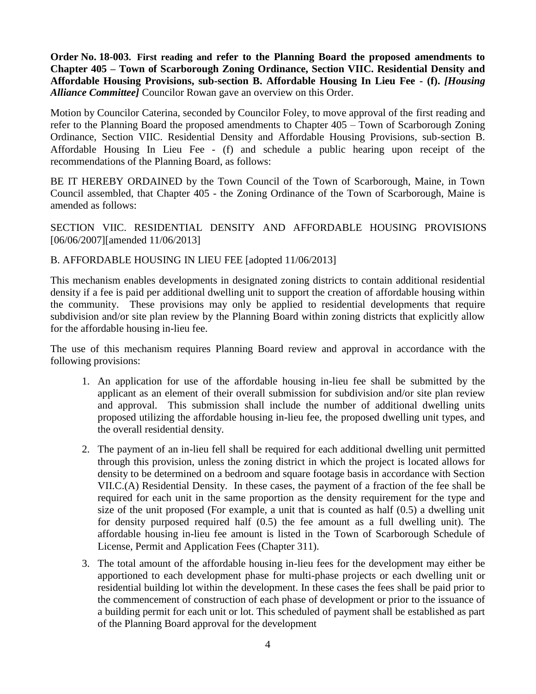**Order No. 18-003. First reading and refer to the Planning Board the proposed amendments to Chapter 405 – Town of Scarborough Zoning Ordinance, Section VIIC. Residential Density and Affordable Housing Provisions, sub-section B. Affordable Housing In Lieu Fee - (f).** *[Housing Alliance Committee]* Councilor Rowan gave an overview on this Order.

Motion by Councilor Caterina, seconded by Councilor Foley, to move approval of the first reading and refer to the Planning Board the proposed amendments to Chapter 405 – Town of Scarborough Zoning Ordinance, Section VIIC. Residential Density and Affordable Housing Provisions, sub-section B. Affordable Housing In Lieu Fee - (f) and schedule a public hearing upon receipt of the recommendations of the Planning Board, as follows:

BE IT HEREBY ORDAINED by the Town Council of the Town of Scarborough, Maine, in Town Council assembled, that Chapter 405 - the Zoning Ordinance of the Town of Scarborough, Maine is amended as follows:

SECTION VIIC. RESIDENTIAL DENSITY AND AFFORDABLE HOUSING PROVISIONS [06/06/2007][amended 11/06/2013]

### B. AFFORDABLE HOUSING IN LIEU FEE [adopted 11/06/2013]

This mechanism enables developments in designated zoning districts to contain additional residential density if a fee is paid per additional dwelling unit to support the creation of affordable housing within the community. These provisions may only be applied to residential developments that require subdivision and/or site plan review by the Planning Board within zoning districts that explicitly allow for the affordable housing in-lieu fee.

The use of this mechanism requires Planning Board review and approval in accordance with the following provisions:

- 1. An application for use of the affordable housing in-lieu fee shall be submitted by the applicant as an element of their overall submission for subdivision and/or site plan review and approval. This submission shall include the number of additional dwelling units proposed utilizing the affordable housing in-lieu fee, the proposed dwelling unit types, and the overall residential density.
- 2. The payment of an in-lieu fell shall be required for each additional dwelling unit permitted through this provision, unless the zoning district in which the project is located allows for density to be determined on a bedroom and square footage basis in accordance with Section VII.C.(A) Residential Density. In these cases, the payment of a fraction of the fee shall be required for each unit in the same proportion as the density requirement for the type and size of the unit proposed (For example, a unit that is counted as half (0.5) a dwelling unit for density purposed required half (0.5) the fee amount as a full dwelling unit). The affordable housing in-lieu fee amount is listed in the Town of Scarborough Schedule of License, Permit and Application Fees (Chapter 311).
- 3. The total amount of the affordable housing in-lieu fees for the development may either be apportioned to each development phase for multi-phase projects or each dwelling unit or residential building lot within the development. In these cases the fees shall be paid prior to the commencement of construction of each phase of development or prior to the issuance of a building permit for each unit or lot. This scheduled of payment shall be established as part of the Planning Board approval for the development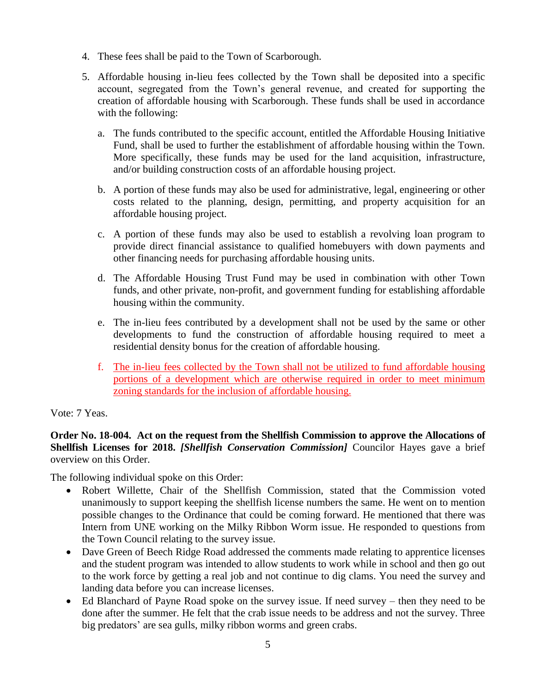- 4. These fees shall be paid to the Town of Scarborough.
- 5. Affordable housing in-lieu fees collected by the Town shall be deposited into a specific account, segregated from the Town's general revenue, and created for supporting the creation of affordable housing with Scarborough. These funds shall be used in accordance with the following:
	- a. The funds contributed to the specific account, entitled the Affordable Housing Initiative Fund, shall be used to further the establishment of affordable housing within the Town. More specifically, these funds may be used for the land acquisition, infrastructure, and/or building construction costs of an affordable housing project.
	- b. A portion of these funds may also be used for administrative, legal, engineering or other costs related to the planning, design, permitting, and property acquisition for an affordable housing project.
	- c. A portion of these funds may also be used to establish a revolving loan program to provide direct financial assistance to qualified homebuyers with down payments and other financing needs for purchasing affordable housing units.
	- d. The Affordable Housing Trust Fund may be used in combination with other Town funds, and other private, non-profit, and government funding for establishing affordable housing within the community.
	- e. The in-lieu fees contributed by a development shall not be used by the same or other developments to fund the construction of affordable housing required to meet a residential density bonus for the creation of affordable housing.
	- f. The in-lieu fees collected by the Town shall not be utilized to fund affordable housing portions of a development which are otherwise required in order to meet minimum zoning standards for the inclusion of affordable housing.

# Vote: 7 Yeas.

### **Order No. 18-004. Act on the request from the Shellfish Commission to approve the Allocations of Shellfish Licenses for 2018.** *[Shellfish Conservation Commission]* Councilor Hayes gave a brief overview on this Order.

The following individual spoke on this Order:

- Robert Willette, Chair of the Shellfish Commission, stated that the Commission voted unanimously to support keeping the shellfish license numbers the same. He went on to mention possible changes to the Ordinance that could be coming forward. He mentioned that there was Intern from UNE working on the Milky Ribbon Worm issue. He responded to questions from the Town Council relating to the survey issue.
- Dave Green of Beech Ridge Road addressed the comments made relating to apprentice licenses and the student program was intended to allow students to work while in school and then go out to the work force by getting a real job and not continue to dig clams. You need the survey and landing data before you can increase licenses.
- Ed Blanchard of Payne Road spoke on the survey issue. If need survey then they need to be done after the summer. He felt that the crab issue needs to be address and not the survey. Three big predators' are sea gulls, milky ribbon worms and green crabs.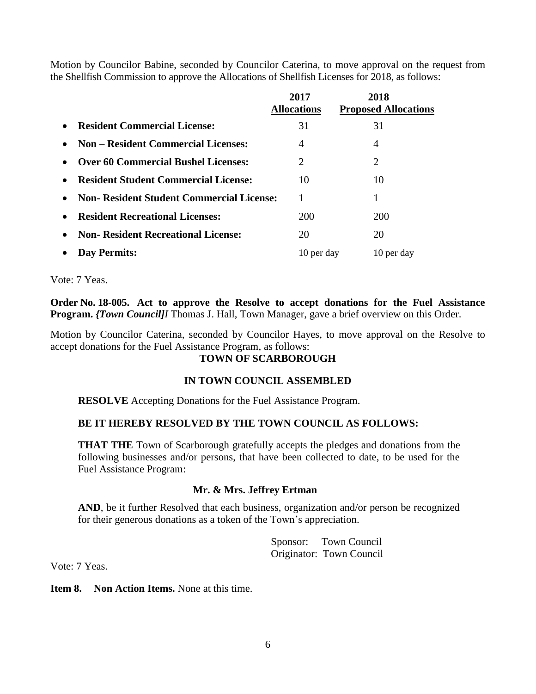Motion by Councilor Babine, seconded by Councilor Caterina, to move approval on the request from the Shellfish Commission to approve the Allocations of Shellfish Licenses for 2018, as follows:

|                                                               | 2017<br><b>Allocations</b>  | 2018<br><b>Proposed Allocations</b> |
|---------------------------------------------------------------|-----------------------------|-------------------------------------|
| <b>Resident Commercial License:</b><br>$\bullet$              | 31                          | 31                                  |
| <b>Non – Resident Commercial Licenses:</b><br>$\bullet$       | $\overline{4}$              | 4                                   |
| <b>Over 60 Commercial Bushel Licenses:</b><br>$\bullet$       | $\mathcal{D}_{\mathcal{L}}$ | 2                                   |
| <b>Resident Student Commercial License:</b><br>$\bullet$      | 10                          | 10                                  |
| <b>Non- Resident Student Commercial License:</b><br>$\bullet$ |                             |                                     |
| <b>Resident Recreational Licenses:</b><br>$\bullet$           | 200                         | <b>200</b>                          |
| <b>Non- Resident Recreational License:</b><br>$\bullet$       | 20                          | 20                                  |
| <b>Day Permits:</b><br>$\bullet$                              | 10 per day                  | 10 per day                          |

Vote: 7 Yeas.

**Order No. 18-005. Act to approve the Resolve to accept donations for the Fuel Assistance Program.** *{Town Council]I* Thomas J. Hall, Town Manager, gave a brief overview on this Order.

Motion by Councilor Caterina, seconded by Councilor Hayes, to move approval on the Resolve to accept donations for the Fuel Assistance Program, as follows:

### **TOWN OF SCARBOROUGH**

### **IN TOWN COUNCIL ASSEMBLED**

**RESOLVE** Accepting Donations for the Fuel Assistance Program.

### **BE IT HEREBY RESOLVED BY THE TOWN COUNCIL AS FOLLOWS:**

**THAT THE** Town of Scarborough gratefully accepts the pledges and donations from the following businesses and/or persons, that have been collected to date, to be used for the Fuel Assistance Program:

### **Mr. & Mrs. Jeffrey Ertman**

AND, be it further Resolved that each business, organization and/or person be recognized for their generous donations as a token of the Town's appreciation.

> Sponsor: Town Council Originator: Town Council

Vote: 7 Yeas.

**Item 8. Non Action Items.** None at this time.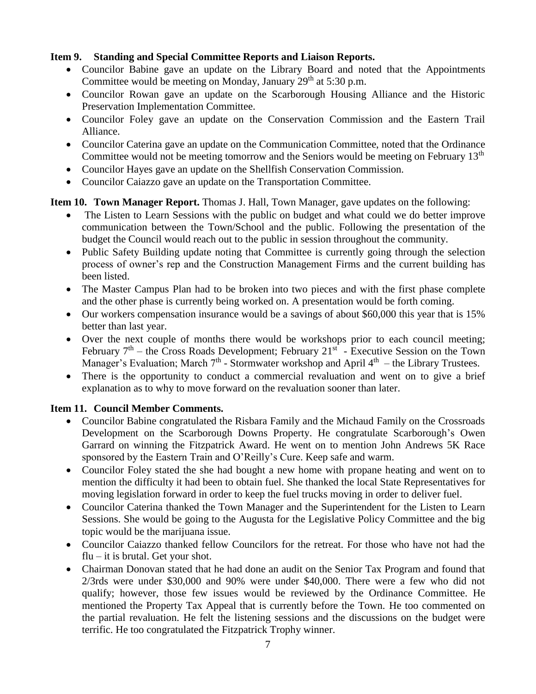### **Item 9. Standing and Special Committee Reports and Liaison Reports.**

- Councilor Babine gave an update on the Library Board and noted that the Appointments Committee would be meeting on Monday, January  $29<sup>th</sup>$  at 5:30 p.m.
- Councilor Rowan gave an update on the Scarborough Housing Alliance and the Historic Preservation Implementation Committee.
- Councilor Foley gave an update on the Conservation Commission and the Eastern Trail Alliance.
- Councilor Caterina gave an update on the Communication Committee, noted that the Ordinance Committee would not be meeting tomorrow and the Seniors would be meeting on February  $13<sup>th</sup>$
- Councilor Hayes gave an update on the Shellfish Conservation Commission.
- Councilor Caiazzo gave an update on the Transportation Committee.

# **Item 10. Town Manager Report.** Thomas J. Hall, Town Manager, gave updates on the following:

- The Listen to Learn Sessions with the public on budget and what could we do better improve communication between the Town/School and the public. Following the presentation of the budget the Council would reach out to the public in session throughout the community.
- Public Safety Building update noting that Committee is currently going through the selection process of owner's rep and the Construction Management Firms and the current building has been listed.
- The Master Campus Plan had to be broken into two pieces and with the first phase complete and the other phase is currently being worked on. A presentation would be forth coming.
- Our workers compensation insurance would be a savings of about \$60,000 this year that is 15% better than last year.
- Over the next couple of months there would be workshops prior to each council meeting; February  $7<sup>th</sup>$  – the Cross Roads Development; February 21<sup>st</sup> - Executive Session on the Town Manager's Evaluation; March  $7<sup>th</sup>$  - Stormwater workshop and April  $4<sup>th</sup>$  – the Library Trustees.
- There is the opportunity to conduct a commercial revaluation and went on to give a brief explanation as to why to move forward on the revaluation sooner than later.

# **Item 11. Council Member Comments.**

- Councilor Babine congratulated the Risbara Family and the Michaud Family on the Crossroads Development on the Scarborough Downs Property. He congratulate Scarborough's Owen Garrard on winning the Fitzpatrick Award. He went on to mention John Andrews 5K Race sponsored by the Eastern Train and O'Reilly's Cure. Keep safe and warm.
- Councilor Foley stated the she had bought a new home with propane heating and went on to mention the difficulty it had been to obtain fuel. She thanked the local State Representatives for moving legislation forward in order to keep the fuel trucks moving in order to deliver fuel.
- Councilor Caterina thanked the Town Manager and the Superintendent for the Listen to Learn Sessions. She would be going to the Augusta for the Legislative Policy Committee and the big topic would be the marijuana issue.
- Councilor Caiazzo thanked fellow Councilors for the retreat. For those who have not had the  $flu - it$  is brutal. Get your shot.
- Chairman Donovan stated that he had done an audit on the Senior Tax Program and found that 2/3rds were under \$30,000 and 90% were under \$40,000. There were a few who did not qualify; however, those few issues would be reviewed by the Ordinance Committee. He mentioned the Property Tax Appeal that is currently before the Town. He too commented on the partial revaluation. He felt the listening sessions and the discussions on the budget were terrific. He too congratulated the Fitzpatrick Trophy winner.